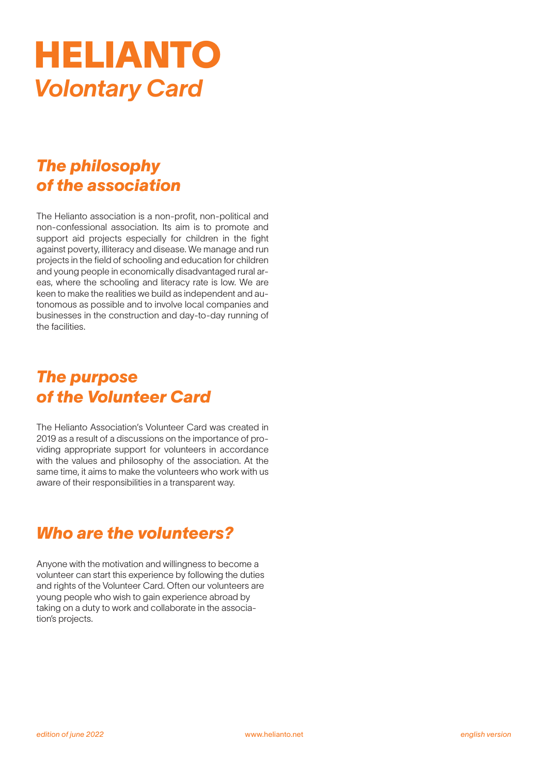# HELIANTO *Volontary Card*

# *The philosophy of the association*

The Helianto association is a non-profit, non-political and non-confessional association. Its aim is to promote and support aid projects especially for children in the fight against poverty, illiteracy and disease. We manage and run projects in the field of schooling and education for children and young people in economically disadvantaged rural areas, where the schooling and literacy rate is low. We are keen to make the realities we build as independent and autonomous as possible and to involve local companies and businesses in the construction and day-to-day running of the facilities.

## *The purpose of the Volunteer Card*

The Helianto Association's Volunteer Card was created in 2019 as a result of a discussions on the importance of providing appropriate support for volunteers in accordance with the values and philosophy of the association. At the same time, it aims to make the volunteers who work with us aware of their responsibilities in a transparent way.

# *Who are the volunteers?*

Anyone with the motivation and willingness to become a volunteer can start this experience by following the duties and rights of the Volunteer Card. Often our volunteers are young people who wish to gain experience abroad by taking on a duty to work and collaborate in the association's projects.